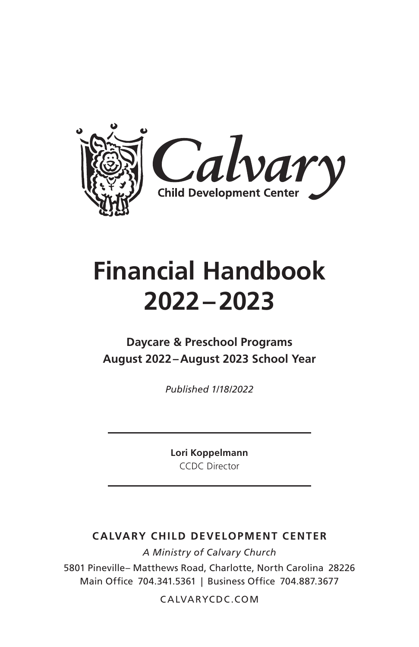

# **Financial Handbook 2022–2023**

# **Daycare & Preschool Programs August 2022–August 2023 School Year**

*Published 1/18/2022*

**Lori Koppelmann** CCDC Director

#### **CALVARY CHILD DEVELOPMENT CENTER**

*A Ministry of Calvary Church* 5801 Pineville– Matthews Road, Charlotte, North Carolina 28226 Main Office 704.341.5361 | Business Office 704.887.3677

CALVARYCDC.COM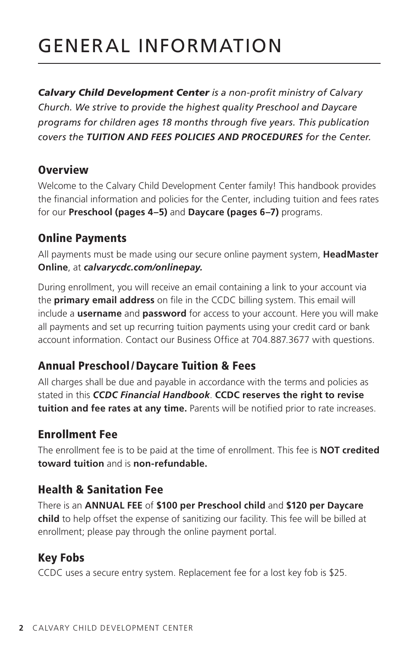# GENERAL INFORMATION

*Calvary Child Development Center is a non-profit ministry of Calvary Church. We strive to provide the highest quality Preschool and Daycare programs for children ages 18 months through five years. This publication covers the TUITION AND FEES POLICIES AND PROCEDURES for the Center.*

#### **Overview**

Welcome to the Calvary Child Development Center family! This handbook provides the financial information and policies for the Center, including tuition and fees rates for our **Preschool (pages 4–5)** and **Daycare (pages 6–7)** programs.

# Online Payments

All payments must be made using our secure online payment system, **HeadMaster Online**, at *calvarycdc.com/onlinepay.*

During enrollment, you will receive an email containing a link to your account via the **primary email address** on file in the CCDC billing system. This email will include a **username** and **password** for access to your account. Here you will make all payments and set up recurring tuition payments using your credit card or bank account information. Contact our Business Office at 704.887.3677 with questions.

# Annual Preschool/Daycare Tuition & Fees

All charges shall be due and payable in accordance with the terms and policies as stated in this *CCDC Financial Handbook*. **CCDC reserves the right to revise tuition and fee rates at any time.** Parents will be notified prior to rate increases.

# Enrollment Fee

The enrollment fee is to be paid at the time of enrollment. This fee is **NOT credited toward tuition** and is **non-refundable.**

# Health & Sanitation Fee

There is an **ANNUAL FEE** of **\$100 per Preschool child** and **\$120 per Daycare child** to help offset the expense of sanitizing our facility. This fee will be billed at enrollment; please pay through the online payment portal.

# Key Fobs

CCDC uses a secure entry system. Replacement fee for a lost key fob is \$25.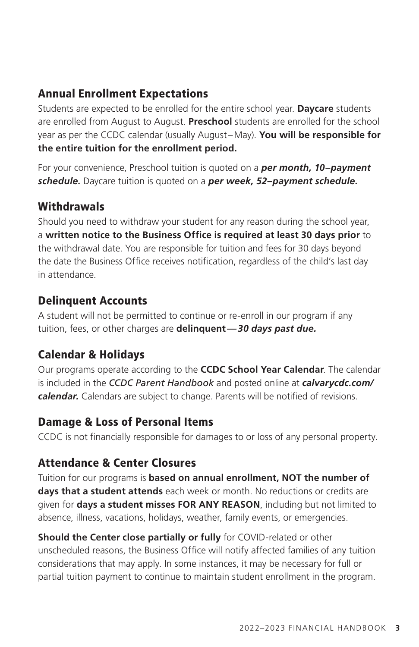# Annual Enrollment Expectations

Students are expected to be enrolled for the entire school year. **Daycare** students are enrolled from August to August. **Preschool** students are enrolled for the school year as per the CCDC calendar (usually August –May). **You will be responsible for the entire tuition for the enrollment period.** 

For your convenience, Preschool tuition is quoted on a *per month, 10–payment schedule.* Daycare tuition is quoted on a *per week, 52–payment schedule.*

# Withdrawals

Should you need to withdraw your student for any reason during the school year, a **written notice to the Business Office is required at least 30 days prior** to the withdrawal date. You are responsible for tuition and fees for 30 days beyond the date the Business Office receives notification, regardless of the child's last day in attendance.

# Delinquent Accounts

A student will not be permitted to continue or re-enroll in our program if any tuition, fees, or other charges are **delinquent***—30 days past due.*

# Calendar & Holidays

Our programs operate according to the **CCDC School Year Calendar**. The calendar is included in the *CCDC Parent Handbook* and posted online at *calvarycdc.com/ calendar.* Calendars are subject to change. Parents will be notified of revisions.

#### Damage & Loss of Personal Items

CCDC is not financially responsible for damages to or loss of any personal property.

# Attendance & Center Closures

Tuition for our programs is **based on annual enrollment, NOT the number of days that a student attends** each week or month. No reductions or credits are given for **days a student misses FOR ANY REASON**, including but not limited to absence, illness, vacations, holidays, weather, family events, or emergencies.

**Should the Center close partially or fully** for COVID-related or other unscheduled reasons, the Business Office will notify affected families of any tuition considerations that may apply. In some instances, it may be necessary for full or partial tuition payment to continue to maintain student enrollment in the program.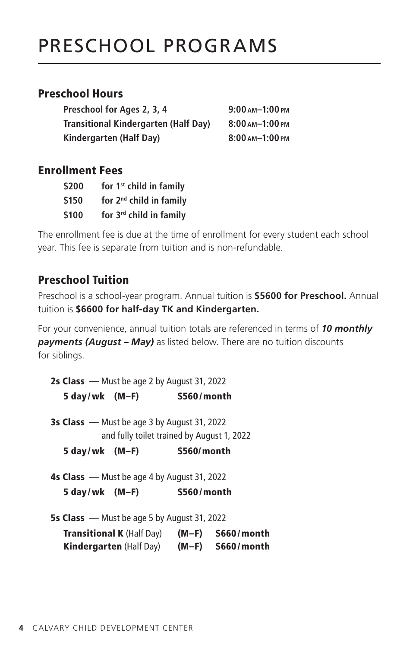# PRESCHOOL PROGRAMS

#### Preschool Hours

**Preschool for Ages 2, 3, 4 9:00 am–1:00pm Transitional Kindergarten (Half Day) 8:00 am–1:00pm Kindergarten (Half Day) 8:00 am–1:00pm**

#### Enrollment Fees

| \$200 | for 1 <sup>st</sup> child in family |
|-------|-------------------------------------|
| \$150 | for 2 <sup>nd</sup> child in family |
| \$100 | for 3rd child in family             |

The enrollment fee is due at the time of enrollment for every student each school year. This fee is separate from tuition and is non-refundable.

#### Preschool Tuition

Preschool is a school-year program. Annual tuition is **\$5600 for Preschool.** Annual tuition is **\$6600 for half-day TK and Kindergarten.**

For your convenience, annual tuition totals are referenced in terms of *10 monthly payments (August – May)* as listed below. There are no tuition discounts for siblings.

2s Class — Must be age 2 by August 31, 2022 5 day/wk (M–F) \$560/month

3s Class — Must be age 3 by August 31, 2022 and fully toilet trained by August 1, 2022

5 day/wk (M–F) \$560/month

4s Class — Must be age 4 by August 31, 2022 5 day/wk (M–F) \$560/month

5s Class — Must be age 5 by August 31, 2022

| <b>Transitional K (Half Day)</b> | $(M-F)$ | \$660/month |
|----------------------------------|---------|-------------|
| <b>Kindergarten (Half Day)</b>   | $(M-F)$ | \$660/month |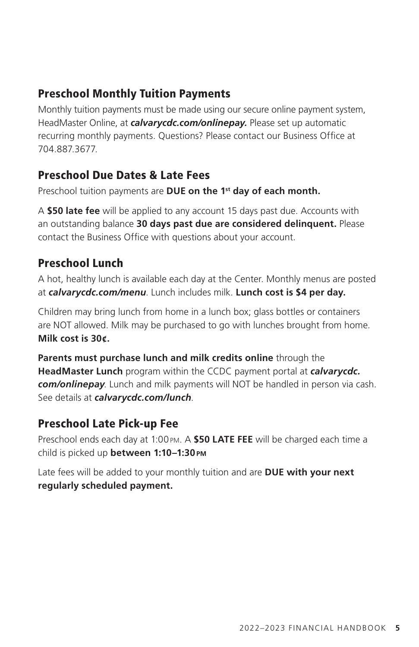# Preschool Monthly Tuition Payments

Monthly tuition payments must be made using our secure online payment system, HeadMaster Online, at *calvarycdc.com/onlinepay.* Please set up automatic recurring monthly payments. Questions? Please contact our Business Office at 704.887.3677.

# Preschool Due Dates & Late Fees

Preschool tuition payments are **DUE on the 1<sup>st</sup> day of each month.** 

A **\$50 late fee** will be applied to any account 15 days past due. Accounts with an outstanding balance **30 days past due are considered delinquent.** Please contact the Business Office with questions about your account.

#### Preschool Lunch

A hot, healthy lunch is available each day at the Center. Monthly menus are posted at *calvarycdc.com/menu*. Lunch includes milk. **Lunch cost is \$4 per day.**

Children may bring lunch from home in a lunch box; glass bottles or containers are NOT allowed. Milk may be purchased to go with lunches brought from home. **Milk cost is 30¢.**

**Parents must purchase lunch and milk credits online** through the **HeadMaster Lunch** program within the CCDC payment portal at *calvarycdc. com/onlinepay*. Lunch and milk payments will NOT be handled in person via cash. See details at *calvarycdc.com/lunch*.

#### Preschool Late Pick-up Fee

Preschool ends each day at 1:00pm. A **\$50 LATE FEE** will be charged each time a child is picked up **between 1:10–1:30pm**

Late fees will be added to your monthly tuition and are **DUE with your next regularly scheduled payment.**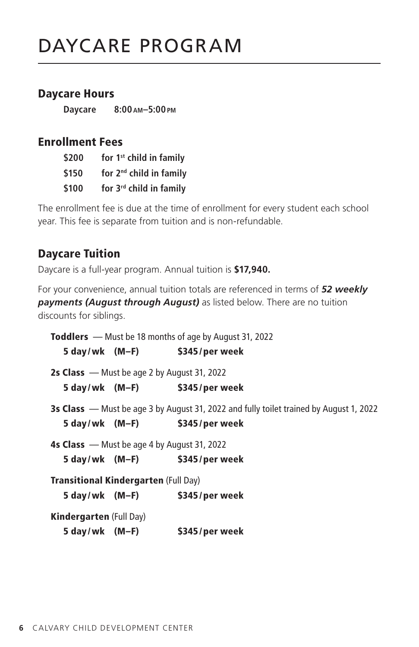#### Daycare Hours

**Daycare 8:00 am–5:00pm**

#### Enrollment Fees

| \$200 | for 1 <sup>st</sup> child in family |
|-------|-------------------------------------|
| \$150 | for 2 <sup>nd</sup> child in family |
| \$100 | for 3 <sup>rd</sup> child in family |

The enrollment fee is due at the time of enrollment for every student each school year. This fee is separate from tuition and is non-refundable.

#### Daycare Tuition

Daycare is a full-year program. Annual tuition is **\$17,940.**

For your convenience, annual tuition totals are referenced in terms of *52 weekly payments (August through August)* as listed below. There are no tuition discounts for siblings.

Toddlers — Must be 18 months of age by August 31, 2022 5 day/wk (M–F) \$345/per week 2s Class — Must be age 2 by August 31, 2022 5 day/wk (M–F) \$345/per week 3s Class — Must be age 3 by August 31, 2022 and fully toilet trained by August 1, 2022 5 day/wk (M–F) \$345/per week 4s Class — Must be age 4 by August 31, 2022 5 day/wk (M–F) \$345/per week Transitional Kindergarten (Full Day) 5 day/wk (M–F) \$345/per week Kindergarten (Full Day) 5 day/wk (M–F) \$345/per week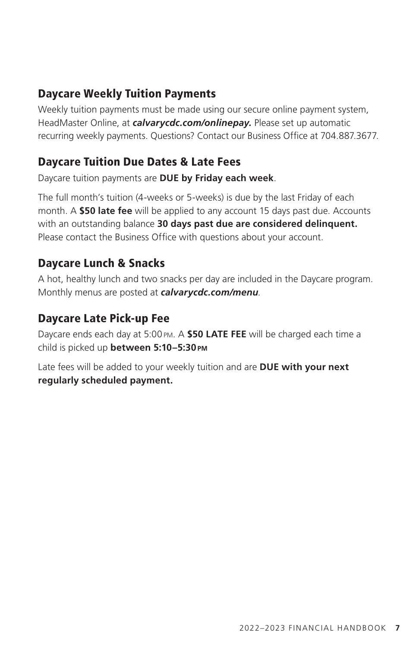#### Daycare Weekly Tuition Payments

Weekly tuition payments must be made using our secure online payment system, HeadMaster Online, at *calvarycdc.com/onlinepay.* Please set up automatic recurring weekly payments. Questions? Contact our Business Office at 704.887.3677.

#### Daycare Tuition Due Dates & Late Fees

Daycare tuition payments are **DUE by Friday each week**.

The full month's tuition (4-weeks or 5-weeks) is due by the last Friday of each month. A **\$50 late fee** will be applied to any account 15 days past due. Accounts with an outstanding balance **30 days past due are considered delinquent.** Please contact the Business Office with questions about your account.

#### Daycare Lunch & Snacks

A hot, healthy lunch and two snacks per day are included in the Daycare program. Monthly menus are posted at *calvarycdc.com/menu*.

#### Daycare Late Pick-up Fee

Daycare ends each day at 5:00pm. A **\$50 LATE FEE** will be charged each time a child is picked up **between 5:10–5:30pm**

Late fees will be added to your weekly tuition and are **DUE with your next regularly scheduled payment.**